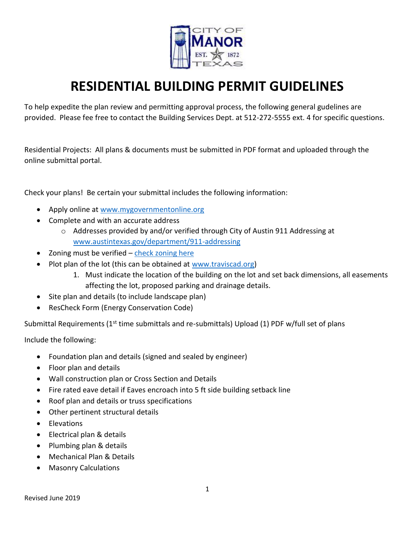

# **RESIDENTIAL BUILDING PERMIT GUIDELINES**

To help expedite the plan review and permitting approval process, the following general gudelines are provided. Please fee free to contact the Building Services Dept. at 512-272-5555 ext. 4 for specific questions.

Residential Projects: All plans & documents must be submitted in PDF format and uploaded through the online submittal portal.

Check your plans! Be certain your submittal includes the following information:

- Apply online at [www.mygovernmentonline.org](http://www.mygovernmentonline.org/)
- Complete and with an accurate address
	- o Addresses provided by and/or verified through City of Austin 911 Addressing at [www.austintexas.gov/department/911-addressing](http://www.austintexas.gov/department/911-addressing)
- Zoning must be verified [check zoning here](http://arcg.is/1ODfHu)
- Plot plan of the lot (this can be obtained at [www.traviscad.org\)](http://www.traviscad.org/)
	- 1. Must indicate the location of the building on the lot and set back dimensions, all easements affecting the lot, proposed parking and drainage details.
- Site plan and details (to include landscape plan)
- ResCheck Form (Energy Conservation Code)

Submittal Requirements (1<sup>st</sup> time submittals and re-submittals) Upload (1) PDF w/full set of plans

Include the following:

- Foundation plan and details (signed and sealed by engineer)
- Floor plan and details
- Wall construction plan or Cross Section and Details
- Fire rated eave detail if Eaves encroach into 5 ft side building setback line
- Roof plan and details or truss specifications
- Other pertinent structural details
- Elevations
- Electrical plan & details
- Plumbing plan & details
- Mechanical Plan & Details
- Masonry Calculations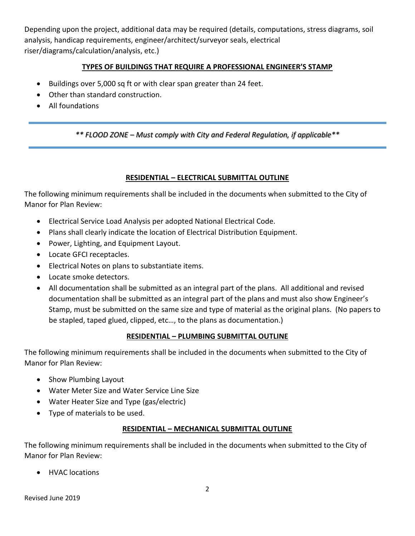Depending upon the project, additional data may be required (details, computations, stress diagrams, soil analysis, handicap requirements, engineer/architect/surveyor seals, electrical riser/diagrams/calculation/analysis, etc.)

## **TYPES OF BUILDINGS THAT REQUIRE A PROFESSIONAL ENGINEER'S STAMP**

- Buildings over 5,000 sq ft or with clear span greater than 24 feet.
- Other than standard construction.
- All foundations

*\*\* FLOOD ZONE – Must comply with City and Federal Regulation, if applicable\*\**

#### **RESIDENTIAL – ELECTRICAL SUBMITTAL OUTLINE**

The following minimum requirements shall be included in the documents when submitted to the City of Manor for Plan Review:

- Electrical Service Load Analysis per adopted National Electrical Code.
- Plans shall clearly indicate the location of Electrical Distribution Equipment.
- Power, Lighting, and Equipment Layout.
- Locate GFCI receptacles.
- Electrical Notes on plans to substantiate items.
- Locate smoke detectors.
- All documentation shall be submitted as an integral part of the plans. All additional and revised documentation shall be submitted as an integral part of the plans and must also show Engineer's Stamp, must be submitted on the same size and type of material as the original plans. (No papers to be stapled, taped glued, clipped, etc…, to the plans as documentation.)

#### **RESIDENTIAL – PLUMBING SUBMITTAL OUTLINE**

The following minimum requirements shall be included in the documents when submitted to the City of Manor for Plan Review:

- Show Plumbing Layout
- Water Meter Size and Water Service Line Size
- Water Heater Size and Type (gas/electric)
- Type of materials to be used.

#### **RESIDENTIAL – MECHANICAL SUBMITTAL OUTLINE**

The following minimum requirements shall be included in the documents when submitted to the City of Manor for Plan Review:

• HVAC locations